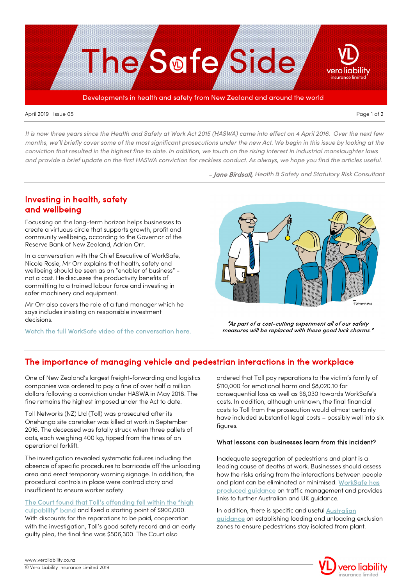

#### April 2019 | Issue 05 Page 1 of 2

*It is now three years since the Health and Safety at Work Act 2015 (HASWA) came into effect on 4 April 2016. Over the next few months, we'll briefly cover some of the most significant prosecutions under the new Act. We begin in this issue by looking at the conviction that resulted in the highest fine to date. In addition, we touch on the rising interest in industrial manslaughter laws and provide a brief update on the first HASWA conviction for reckless conduct. As always, we hope you find the articles useful.*

- Jane Birdsall, *Health & Safety and Statutory Risk Consultant*

## Investing in health, safety and wellbeing

Focussing on the long-term horizon helps businesses to create a virtuous circle that supports growth, profit and community wellbeing, according to the Governor of the Reserve Bank of New Zealand, Adrian Orr.

In a conversation with the Chief Executive of WorkSafe, Nicole Rosie, Mr Orr explains that health, safety and wellbeing should be seen as an "enabler of business" not a cost. He discusses the productivity benefits of committing to a trained labour force and investing in safer machinery and equipment.

Mr Orr also covers the role of a fund manager which he says includes insisting on responsible investment decisions.

[Watch the full WorkSafe video of the conversation here.](https://worksafe.govt.nz/about-us/thought-leadership/insights/) 



"As part of a cost-cutting experiment all of our safety measures will be replaced with these good luck charms."

# The importance of managing vehicle and pedestrian interactions in the workplace

One of New Zealand's largest freight-forwarding and logistics companies was ordered to pay a fine of over half a million dollars following a conviction under HASWA in May 2018. The fine remains the highest imposed under the Act to date.

Toll Networks (NZ) Ltd (Toll) was prosecuted after its Onehunga site caretaker was killed at work in September 2016. The deceased was fatally struck when three pallets of oats, each weighing 400 kg, tipped from the tines of an operational forklift.

The investigation revealed systematic failures including the absence of specific procedures to barricade off the unloading area and erect temporary warning signage. In addition, the procedural controls in place were contradictory and insufficient to ensure worker safety.

[The Court found that Toll's offending fell within the "high](http://districtcourts.govt.nz/all-judgments/2018-nzdc-11132-worksafe-new-zealand-v-toll-networks-nz-ltd/)  [culpability" band](http://districtcourts.govt.nz/all-judgments/2018-nzdc-11132-worksafe-new-zealand-v-toll-networks-nz-ltd/) and fixed a starting point of \$900,000. With discounts for the reparations to be paid, cooperation with the investigation, Toll's good safety record and an early guilty plea, the final fine was \$506,300. The Court also

ordered that Toll pay reparations to the victim's family of \$110,000 for emotional harm and \$8,020.10 for consequential loss as well as \$6,030 towards WorkSafe's costs. In addition, although unknown, the final financial costs to Toll from the prosecution would almost certainly have included substantial legal costs – possibly well into six figures.

### What lessons can businesses learn from this incident?

Inadequate segregation of pedestrians and plant is a leading cause of deaths at work. Businesses should assess how the risks arising from the interactions between people and plant can be eliminated or minimised. [WorkSafe has](https://worksafe.govt.nz/topic-and-industry/manufacturing/traffic-management-manufacturing/)  [produced guidance](https://worksafe.govt.nz/topic-and-industry/manufacturing/traffic-management-manufacturing/) on traffic management and provides links to further Australian and UK guidance.

In addition, there is specific and useful Australian [guidance](http://www.truck.net.au/resource-library/loading-unloading-exclusion-zone-luez-guidelines) on establishing loading and unloading exclusion zones to ensure pedestrians stay isolated from plant.